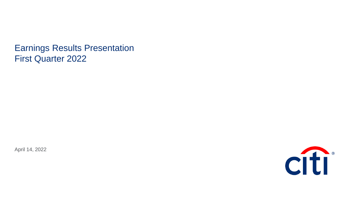Earnings Results Presentation First Quarter 2022

April 14, 2022

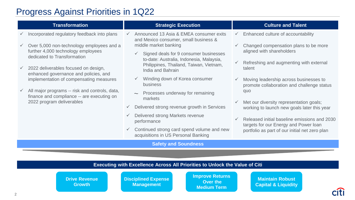# Progress Against Priorities in 1Q22

| <b>Transformation</b>                                                                                                                                                                                                                                                                                                                                                                                                  | <b>Strategic Execution</b>                                                                                                                                                                                                                                                                                                                                                                                                                                                                                                                          | <b>Culture and Talent</b>                                                                                                                                                                                                                                                                                                                                                                                                                                                                                                                                                         |
|------------------------------------------------------------------------------------------------------------------------------------------------------------------------------------------------------------------------------------------------------------------------------------------------------------------------------------------------------------------------------------------------------------------------|-----------------------------------------------------------------------------------------------------------------------------------------------------------------------------------------------------------------------------------------------------------------------------------------------------------------------------------------------------------------------------------------------------------------------------------------------------------------------------------------------------------------------------------------------------|-----------------------------------------------------------------------------------------------------------------------------------------------------------------------------------------------------------------------------------------------------------------------------------------------------------------------------------------------------------------------------------------------------------------------------------------------------------------------------------------------------------------------------------------------------------------------------------|
| Incorporated regulatory feedback into plans<br>Over 5,000 non-technology employees and a<br>further 4,000 technology employees<br>dedicated to Transformation<br>2022 deliverables focused on design,<br>enhanced governance and policies, and<br>implementation of compensating measures<br>All major programs -- risk and controls, data,<br>finance and compliance -- are executing on<br>2022 program deliverables | Announced 13 Asia & EMEA consumer exits<br>and Mexico consumer, small business &<br>middle market banking<br>Signed deals for 9 consumer businesses<br>to-date: Australia, Indonesia, Malaysia,<br>Philippines, Thailand, Taiwan, Vietnam,<br>India and Bahrain<br>Winding down of Korea consumer<br>business<br>Processes underway for remaining<br>markets<br>Delivered strong revenue growth in Services<br>Delivered strong Markets revenue<br>performance<br>Continued strong card spend volume and new<br>acquisitions in US Personal Banking | Enhanced culture of accountability<br>Changed compensation plans to be more<br>$\checkmark$<br>aligned with shareholders<br>Refreshing and augmenting with external<br>$\checkmark$<br>talent<br>Moving leadership across businesses to<br>$\checkmark$<br>promote collaboration and challenge status<br>quo<br>Met our diversity representation goals;<br>$\checkmark$<br>working to launch new goals later this year<br>Released initial baseline emissions and 2030<br>$\checkmark$<br>targets for our Energy and Power loan<br>portfolio as part of our initial net zero plan |
|                                                                                                                                                                                                                                                                                                                                                                                                                        | <b>Safety and Soundness</b>                                                                                                                                                                                                                                                                                                                                                                                                                                                                                                                         |                                                                                                                                                                                                                                                                                                                                                                                                                                                                                                                                                                                   |
|                                                                                                                                                                                                                                                                                                                                                                                                                        |                                                                                                                                                                                                                                                                                                                                                                                                                                                                                                                                                     |                                                                                                                                                                                                                                                                                                                                                                                                                                                                                                                                                                                   |
|                                                                                                                                                                                                                                                                                                                                                                                                                        | <b>Executing with Excellence Across All Priorities to Unlock the Value of Citi</b>                                                                                                                                                                                                                                                                                                                                                                                                                                                                  |                                                                                                                                                                                                                                                                                                                                                                                                                                                                                                                                                                                   |

**Drive Revenue Growth**

**Disciplined Expense Management** 

**Improve Returns Over the Medium Term**

**Maintain Robust Capital & Liquidity**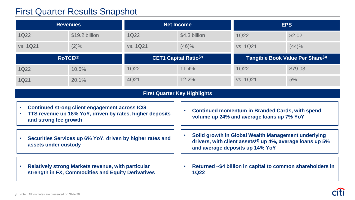# First Quarter Results Snapshot

|          | <b>Revenues</b>      | <b>Net Income</b> |                              |          | <b>EPS</b>                                   |
|----------|----------------------|-------------------|------------------------------|----------|----------------------------------------------|
| 1Q22     | \$19.2 billion       | <b>1Q22</b>       | \$4.3 billion                | 1Q22     | \$2.02                                       |
| vs. 1Q21 | $(2)\%$              | vs. 1Q21          | (46)%                        | vs. 1Q21 | (44)%                                        |
|          | RoTCE <sup>(1)</sup> |                   | <b>CET1 Capital Ratio(2)</b> |          |                                              |
|          |                      |                   |                              |          | Tangible Book Value Per Share <sup>(3)</sup> |
| 1Q22     | 10.5%                | 1Q22              | 11.4%                        | 1Q22     | \$79.03                                      |

#### **First Quarter Key Highlights**

- **Continued strong client engagement across ICG**
- **TTS revenue up 18% YoY, driven by rates, higher deposits and strong fee growth**
- **Securities Services up 6% YoY, driven by higher rates and assets under custody**
- **Continued momentum in Branded Cards, with spend volume up 24% and average loans up 7% YoY**
- **Solid growth in Global Wealth Management underlying drivers, with client assets(4) up 4%, average loans up 5% and average deposits up 14% YoY**

• **Relatively strong Markets revenue, with particular strength in FX, Commodities and Equity Derivatives** • **Returned ~\$4 billion in capital to common shareholders in 1Q22**

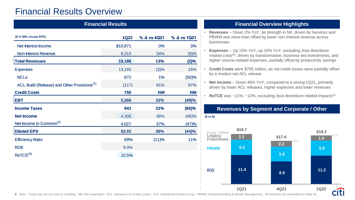# Financial Results Overview

| <b>Financial Results</b>                                |                           |             |             |
|---------------------------------------------------------|---------------------------|-------------|-------------|
| (\$ in MM, except EPS)                                  | <b>1Q22</b>               | % ∆ vs 4Q21 | % ∆ vs 1Q21 |
| <b>Net Interest Income</b>                              | \$10,871                  | 0%          | 3%          |
| <b>Non-Interest Revenue</b>                             | 8,315                     | 34%         | (9)%        |
| <b>Total Revenues</b>                                   | (19, 186)                 | 13%         | (2)%        |
| <b>Expenses</b>                                         | 13,165                    | (3)%        | 15%         |
| <b>NCLs</b>                                             | 872                       | 1%          | (50)%       |
| ACL Build (Release) and Other Provisions <sup>(1)</sup> | (117)                     | 91%         | 97%         |
| <b>Credit Costs</b>                                     | 755                       | <b>NM</b>   | <b>NM</b>   |
| <b>EBT</b>                                              | 5,266                     | 33%         | (49)%       |
| <b>Income Taxes</b>                                     | 941                       | 22%         | $(60)$ %    |
| <b>Net Income</b>                                       | (4,306)                   | 36%         | (46)%       |
| Net Income to Common <sup>(2)</sup>                     | 4,027                     | 37%         | (47)%       |
| <b>Diluted EPS</b>                                      | \$2.02                    | 38%         | (44)%       |
| <b>Efficiency Ratio</b>                                 | 69%                       | (11)%       | 11%         |
| <b>ROE</b>                                              | 9.0%                      |             |             |
| ROICE <sup>(3)</sup>                                    | $\langle$ 10.5% $\rangle$ |             |             |

### **Financial Overview Highlights**

- **Revenues**  Down 2% YoY, as strength in NII, driven by Services and PBWM was more than offset by lower non-interest revenue across businesses
- **Expenses** Up 15% YoY; up 10% YoY, excluding Asia divestiture related costs<sup>(4)</sup>, driven by transformation, business-led investments, and higher volume-related expenses, partially offset by productivity savings
- **Credit Costs** were \$755 million, as net credit losses were partially offset by a modest net ACL release
- **Net Income**  Down 46% YoY, compared to a strong 1Q21, primarily driven by lower ACL releases, higher expenses and lower revenues
- **RoTCE** was ~11%; ~12%, excluding Asia divestiture related impacts<sup>(5)</sup>



#### **Revenues by Segment and Corporate / Other (\$ in B)**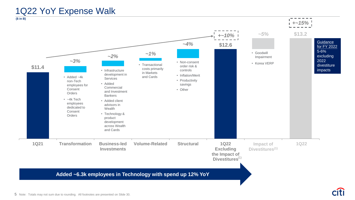# 1Q22 YoY Expense Walk

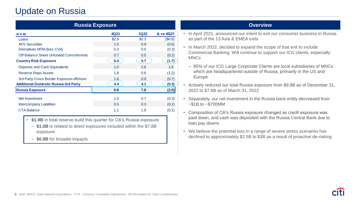# Update on Russia

| <b>Russia Exposure</b>                        |                  |             |                  |  |
|-----------------------------------------------|------------------|-------------|------------------|--|
| (\$in B)                                      | 4Q21             | <b>1Q22</b> | $\Delta$ vs 4Q21 |  |
| Loans                                         | \$2.9            | \$2.3       | (\$0.6)          |  |
| <b>AFS Securities</b>                         | 1.5              | 0.9         | (0.6)            |  |
| Derivatives MTM (less CVA)                    | 0.3              | 0.0         | (0.3)            |  |
| <b>Off-Balance Sheet Unfunded Commitments</b> | 0.7              | 0.5         | (0.2)            |  |
| <b>Country Risk Exposure</b>                  | 5.4              | 3.7         | (1.7)            |  |
| Deposits and Cash Equivalents                 | 1.0              | 2.6         | 1.6              |  |
| <b>Reverse Repo Assets</b>                    | 1.8              | 0.6         | (1.2)            |  |
| 3rd Party Cross-Border Exposure-offshore      | 1.6              | 0.9         | (0.7)            |  |
| <b>Additional Domestic Russia-3rd Party</b>   | 4.4 <sub>2</sub> | 4.1         | (0.3)            |  |
| <b>Russia Exposure</b>                        | 9.8              | 7.8         | (2.0)            |  |
| Net Investment                                | 1.0              | 0.7         | (0.3)            |  |
| <b>Intercompany Liabilities</b>               | 0.5              | 0.3         | (0.2)            |  |
| CTA Balance                                   | 1.1              | 1.0         | (0.1)            |  |

- **\$1.9B** in total reserve build this quarter for Citi's Russia exposure
- ‒ **\$1.0B** is related to direct exposures included within the \$7.8B exposure
- ‒ **\$0.9B** for broader impacts

#### **Overview**

- In April 2021, announced our intent to exit our consumer business in Russia as part of the 13 Asia & EMEA exits
- In March 2022, decided to expand the scope of that exit to include Commercial Banking. Will continue to support our ICG clients, especially MNCs
	- ‒ 85% of our ICG Large Corporate Clients are local subsidiaries of MNCs which are headquartered outside of Russia, primarily in the US and Europe
- Actively reduced our total Russia exposure from \$9.8B as of December 31, 2021 to \$7.8B as of March 31, 2022
- Separately, our net investment in the Russia bank entity decreased from  $~\sim$ \$1B to  $~\sim$ \$700MM
- Composition of Citi's Russia exposure changed as credit exposure was paid down, and cash was deposited with the Russia Central Bank due to loan pay downs
- We believe the potential loss in a range of severe stress scenarios has declined to approximately \$2.5B to \$3B as a result of proactive de-risking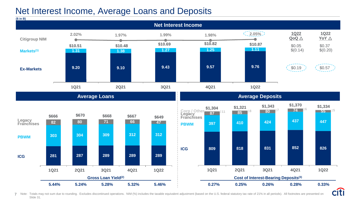# Net Interest Income, Average Loans and Deposits



7 Note: Totals may not sum due to rounding. Excludes discontinued operations. NIM (%) includes the taxable equivalent adjustment (based on the U.S. federal statutory tax rate of 21% in all periods). All footnotes are prese Slide 31.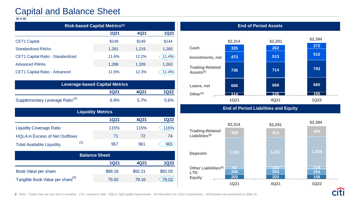# Capital and Balance Sheet

#### **(\$ in B)**

| <b>Risk-based Capital Metrics(1)</b> |             |       |             |  |
|--------------------------------------|-------------|-------|-------------|--|
|                                      | <b>1Q21</b> | 4Q21  | <b>1Q22</b> |  |
| <b>CET1 Capital</b>                  | \$149       | \$149 | \$144       |  |
| <b>Standardized RWAs</b>             | 1,281       | 1,219 | 1,265       |  |
| CET1 Capital Ratio - Standardized    | 11.6%       | 12.2% | $(11.4\%)$  |  |
| <b>Advanced RWAs</b>                 | 1,288       | 1,209 | 1,263       |  |
| <b>CET1 Capital Ratio - Advanced</b> | 11.6%       | 12.3% | $11.4\%$    |  |

| <b>Leverage-based Capital Metrics</b>       |      |         |      |
|---------------------------------------------|------|---------|------|
|                                             | 1Q21 | 4Q21    | 1Q22 |
| Supplementary Leverage Ratio <sup>(2)</sup> | 6.9% | $5.7\%$ | 5.6% |

| <b>Liquidity Metrics</b>              |     |             |      |                 |
|---------------------------------------|-----|-------------|------|-----------------|
|                                       |     | <b>1Q21</b> | 4Q21 | <b>1Q22</b>     |
| <b>Liquidity Coverage Ratio</b>       |     | 115%        | 115% | $\lesssim$ 116% |
| <b>HQLA</b> in Excess of Net Outflows |     | 71          | 72   | 74              |
| <b>Total Available Liquidity</b>      | (3) | 957         | 961  | 965             |

| <b>Balance Sheet</b>                         |             |         |         |
|----------------------------------------------|-------------|---------|---------|
|                                              | <b>1Q21</b> | 4Q21    | 1Q22    |
| Book Value per share                         | \$88.18     | \$92.21 | \$92.03 |
| Tangible Book Value per share <sup>(4)</sup> | 75.50       | 79.16   | (79.03) |



#### **End of Period Liabilities and Equity**



8 Note: Totals may not sum due to rounding. LTD: Long-term debt. HQLA: High quality liquid assets. All information for 1Q22 is preliminary. All footnotes are presented on Slide 31.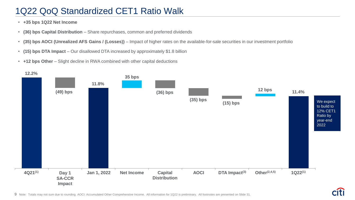# 1Q22 QoQ Standardized CET1 Ratio Walk

- **+35 bps 1Q22 Net Income**
- **(36) bps Capital Distribution**  Share repurchases, common and preferred dividends
- **(35) bps AOCI (Unrealized AFS Gains / (Losses))**  Impact of higher rates on the available-for-sale securities in our investment portfolio
- **(15) bps DTA Impact**  Our disallowed DTA increased by approximately \$1.8 billion
- **+12 bps Other** Slight decline in RWA combined with other capital deductions

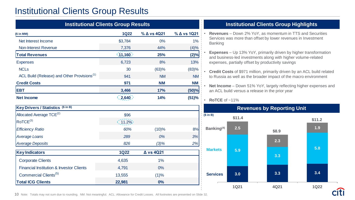# Institutional Clients Group Results

|                                                         | <b>Institutional Clients Group Results</b> |                  |             |  |  |
|---------------------------------------------------------|--------------------------------------------|------------------|-------------|--|--|
| (\$in MM)                                               | <b>1Q22</b>                                | % ∆ vs 4Q21      | % ∆ vs 1Q21 |  |  |
| Net Interest Income                                     | \$3,784                                    | 0%               | 1%          |  |  |
| <b>Non-Interest Revenue</b>                             | 7,376                                      | 44%              | (4)%        |  |  |
| <b>Total Revenues</b>                                   | (11,160)                                   | 25%              | (2)%        |  |  |
| <b>Expenses</b>                                         | 6,723                                      | 8%               | 13%         |  |  |
| <b>NCLs</b>                                             | 30                                         | (63)%            | (83)%       |  |  |
| ACL Build (Release) and Other Provisions <sup>(1)</sup> | 941                                        | <b>NM</b>        | <b>NM</b>   |  |  |
| <b>Credit Costs</b>                                     | 971                                        | <b>NM</b>        | <b>NM</b>   |  |  |
| <b>EBT</b>                                              | 3,466                                      | 17%              | (50)%       |  |  |
| <b>Net Income</b>                                       | 2,640                                      | 14%              | (51)%       |  |  |
| Key Drivers / Statistics (\$ in B)                      |                                            |                  |             |  |  |
| Allocated Average TCE <sup>(2)</sup>                    | \$96                                       |                  |             |  |  |
| ROTCE <sup>(3)</sup>                                    | $(11.2\%)$                                 |                  |             |  |  |
| <b>Efficiency Ratio</b>                                 | 60%                                        | (10)%            | 8%          |  |  |
| <b>Average Loans</b>                                    | 289                                        | 0%               | 3%          |  |  |
| <b>Average Deposits</b>                                 | 826                                        | (3)%             | 2%          |  |  |
| <b>Key Indicators</b>                                   | <b>1Q22</b>                                | $\Delta$ vs 4Q21 |             |  |  |
| <b>Corporate Clients</b>                                | 4,635                                      | 1%               |             |  |  |
| <b>Financial Institution &amp; Investor Clients</b>     | 4,791                                      | 0%               |             |  |  |
| Commercial Clients <sup>(5)</sup>                       | 13,555                                     | (1)%             |             |  |  |
| <b>Total ICG Clients</b>                                | 22,981                                     | 0%               |             |  |  |

#### **Institutional Clients Group Highlights**

- **Revenues**  Down 2% YoY, as momentum in TTS and Securities Services was more than offset by lower revenues in Investment Banking
- **Expenses** Up 13% YoY, primarily driven by higher transformation and business-led investments along with higher volume-related expenses, partially offset by productivity savings
- **Credit Costs** of \$971 million, primarily driven by an ACL build related to Russia as well as the broader impact of the macro environment
- **Net Income**  Down 51% YoY, largely reflecting higher expenses and an ACL build versus a release in the prior year

#### • **RoTCE** of ~11%



10 Note: Totals may not sum due to rounding. NM: Not meaningful. ACL: Allowance for Credit Losses. All footnotes are presented on Slide 32.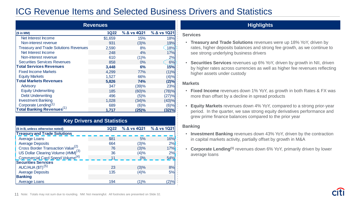# ICG Revenue Items and Selected Business Drivers and Statistics

| <b>Revenues</b>                              |             |                       |             |  |  |
|----------------------------------------------|-------------|-----------------------|-------------|--|--|
| (\$in MM)                                    | <b>1Q22</b> | $\%$ $\Delta$ vs 4Q21 | % ∆ vs 1Q21 |  |  |
| Net Interest Income                          | \$1,659     | 15%                   | <b>18%</b>  |  |  |
| Non-interest revenue                         | 931         | (3)%                  | 19%         |  |  |
| <b>Treasury and Trade Solutions Revenues</b> | 2,590       | 8%                    | 18%         |  |  |
| Net Interest Income                          | 248         | 4%                    | 17%         |  |  |
| Non-interest revenue                         | 610         | (1)%                  | 2%          |  |  |
| <b>Securities Services Revenues</b>          | 858         | $0\%$                 | 6%          |  |  |
| <b>Total Services Revenues</b>               | 3,448       | 6%                    | <b>15%</b>  |  |  |
| <b>Fixed Income Markets</b>                  | 4,299       | 77%                   | (1)%        |  |  |
| <b>Equity Markets</b>                        | 1,527       | 66%                   | (4)%        |  |  |
| <b>Total Markets Revenues</b>                | 5,826       | 74%                   | (2)%        |  |  |
| <b>Advisory</b>                              | 347         | (39)%                 | 23%         |  |  |
| <b>Equity Underwriting</b>                   | 185         | (60)%                 | (78)%       |  |  |
| <b>Debt Underwriting</b>                     | 496         | (5)%                  | (27)%       |  |  |
| <b>Investment Banking</b>                    | 1,028       | (34)%                 | (43)%       |  |  |
| Corporate Lending <sup>(1)</sup>             | 689         | $(6)$ %               | (6)%        |  |  |
| <b>Total Banking Revenues</b> <sup>(1)</sup> | 1.717       | $(25)\%$              | <u>32)%</u> |  |  |

| <b>Key Drivers and Statistics</b>                                 |      |       |           |  |  |
|-------------------------------------------------------------------|------|-------|-----------|--|--|
| 1Q22 % Δ vs 4Q21 % Δ vs 1Q21<br>(\$ in B, unless otherwise noted) |      |       |           |  |  |
| <b>Treasury and Trade Solutions</b>                               |      |       |           |  |  |
| <b>Average Loans</b>                                              | \$81 | 5%    | 16%       |  |  |
| <b>Average Deposits</b>                                           | 664  | (3)%  | 2%        |  |  |
| Cross Border Transaction Value <sup>(2)</sup>                     | 76   | (3)%  | 17%       |  |  |
| US Dollar Clearing Volume (#MM) <sup>(3)</sup>                    | 36   | (4)%  | 2%        |  |  |
| Commercial Card Spend Volume <sup>(4)</sup>                       | 11   | $0\%$ | 54%       |  |  |
| <b>Securities Services</b>                                        |      |       |           |  |  |
| AUC/AUA $(\$T)^{(5)}$                                             | 23   | (3)%  | 8%        |  |  |
| <b>Average Deposits</b>                                           | 135  | (4)%  | <b>5%</b> |  |  |
| <b>Banking</b>                                                    |      |       |           |  |  |
| <b>Average Loans</b>                                              | 194  | (1)%  | 2)%       |  |  |

### **Highlights**

#### **Services**

- **Treasury and Trade Solutions** revenues were up 18% YoY, driven by rates, higher deposits balances and strong fee growth, as we continue to see strong underlying business drivers
- **Securities Services** revenues up 6% YoY, driven by growth in NII, driven by higher rates across currencies as well as higher fee revenues reflecting higher assets under custody

#### **Markets**

- **Fixed Income** revenues down 1% YoY, as growth in both Rates & FX was more than offset by a decline in spread products
- **Equity Markets** revenues down 4% YoY, compared to a strong prior-year period. In the quarter, we saw strong equity derivatives performance and grew prime finance balances compared to the prior year

#### **Banking**

- **Investment Banking** revenues down 43% YoY, driven by the contraction in capital markets activity, partially offset by growth in M&A
- **Corporate Lending(1)** revenues down 6% YoY, primarily driven by lower average loans

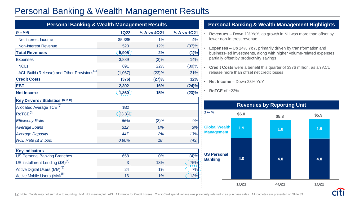# Personal Banking & Wealth Management Results

| <b>Personal Banking &amp; Wealth Management Results</b> |             |             |             |  |
|---------------------------------------------------------|-------------|-------------|-------------|--|
| (\$in MM)                                               | <b>1Q22</b> | % ∆ vs 4Q21 | % ∆ vs 1Q21 |  |
| Net Interest Income                                     | \$5,385     | 1%          | 4%          |  |
| <b>Non-Interest Revenue</b>                             | 520         | 12%         | (37)%       |  |
| <b>Total Revenues</b>                                   | (5,905)     | 2%          | (1)%        |  |
| <b>Expenses</b>                                         | 3,889       | (3)%        | 14%         |  |
| <b>NCL<sub>s</sub></b>                                  | 691         | 22%         | (30)%       |  |
| ACL Build (Release) and Other Provisions <sup>(1)</sup> | (1,067)     | (23)%       | 31%         |  |
| <b>Credit Costs</b>                                     | (376)       | (27)%       | 32%         |  |
| <b>EBT</b>                                              | 2,392       | 16%         | (24)%       |  |
| <b>Net Income</b>                                       | (1,860)     | 15%         | (23)%       |  |
| <b>Key Drivers / Statistics (\$ in B)</b>               |             |             |             |  |
| Allocated Average TCE <sup>(2)</sup>                    | \$32        |             |             |  |
| ROICE <sup>(3)</sup>                                    | $(23.3\%)$  |             |             |  |
| <b>Efficiency Ratio</b>                                 | 66%         | (3)%        | 9%          |  |
| <b>Average Loans</b>                                    | 312         | 0%          | 3%          |  |
| <b>Average Deposits</b>                                 | 447         | 2%          | 13%         |  |
| $NCL$ Rate ( $\Delta$ in bps)                           | 0.90%       | 18          | (43)        |  |
| <b>Key Indicators</b>                                   |             |             |             |  |
| <b>US Personal Banking Branches</b>                     | 658         | 0%          | (4)%        |  |
| US Installment Lending $(BB)^{(4)}$                     | 3           | 13%         | 75%         |  |
| Active Digital Users (MM) <sup>(5)</sup>                | 24          | 1%          | 7%          |  |
| Active Mobile Users (MM) <sup>(6)</sup>                 | 16          | 1%          | 13%         |  |

#### **Personal Banking & Wealth Management Highlights**

- **Revenues** Down 1% YoY, as growth in NII was more than offset by lower non-interest revenue
- **Expenses**  Up 14% YoY, primarily driven by transformation and business-led investments, along with higher volume-related expenses, partially offset by productivity savings
- **Credit Costs** were a benefit this quarter of \$376 million, as an ACL release more than offset net credit losses
- **Net Income** Down 23% YoY

• **RoTCE** of ~23%

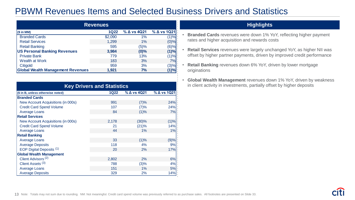# PBWM Revenues Items and Selected Business Drivers and Statistics

| <b>Revenues</b>                          |             |         |             |  |  |
|------------------------------------------|-------------|---------|-------------|--|--|
| $(S \in M)$                              | <b>1Q22</b> |         | % ∆ vs 1Q21 |  |  |
| <b>Branded Cards</b>                     | \$2,090     | $1\%$   | (1)%        |  |  |
| <b>Retail Services</b>                   | 1,299       | $1\%$   | $(0)\%$     |  |  |
| <b>Retail Banking</b>                    | 595         | (5)%    | (6)%        |  |  |
| <b>US Personal Banking Revenues</b>      | 3,984       | $(0)\%$ | (1)%        |  |  |
| <b>Private Bank</b>                      | 779         | 13%     | (1)%        |  |  |
| Wealth at Work                           | 183         | 3%      | 7%          |  |  |
| Citigold                                 | 959         | 3%      | (3)%        |  |  |
| <b>Global Wealth Management Revenues</b> | 1,921       | 7%      | (1)%        |  |  |

| <b>Key Drivers and Statistics</b>  |             |                       |             |  |  |
|------------------------------------|-------------|-----------------------|-------------|--|--|
| (\$ in B, unless otherwise noted)  | <b>1Q22</b> | $\%$ $\Delta$ vs 4Q21 | % ∆ vs 1Q21 |  |  |
| <b>Branded Cards</b>               |             |                       |             |  |  |
| New Account Acquisitions (in 000s) | 991         | (7)%                  | 24%         |  |  |
| <b>Credit Card Spend Volume</b>    | 107         | (7)%                  | 24%         |  |  |
| <b>Average Loans</b>               | 84          | (1)%                  | 7%          |  |  |
| <b>Retail Services</b>             |             |                       |             |  |  |
| New Account Acquisitions (in 000s) | 2,178       | (30)%                 | (1)%        |  |  |
| <b>Credit Card Spend Volume</b>    | 21          | (21)%                 | 14%         |  |  |
| Average Loans                      | 44          | $1\%$                 | 1%          |  |  |
| <b>Retail Banking</b>              |             |                       |             |  |  |
| <b>Average Loans</b>               | 33          | (1)%                  | (9)%        |  |  |
| <b>Average Deposits</b>            | 118         | 4%                    | 9%          |  |  |
| EOP Digital Deposits (1)           | 20          | 2%                    | 17%         |  |  |
| <b>Global Wealth Management</b>    |             |                       |             |  |  |
| Client Advisors <sup>(2)</sup>     | 2,802       | 2%                    | 6%          |  |  |
| Client Assets (3)                  | 788         | (3)%                  | 4%          |  |  |
| <b>Average Loans</b>               | 151         | 1%                    | 5%          |  |  |
| <b>Average Deposits</b>            | 329         | 2%                    | 14%         |  |  |

#### **Revenues Highlights**

- **Branded Cards** revenues were down 1% YoY, reflecting higher payment rates and higher acquisition and rewards costs
- **Retail Services** revenues were largely unchanged YoY, as higher NII was offset by higher partner payments, driven by improved credit performance
- **Retail Banking** revenues down 6% YoY, driven by lower mortgage originations
- **Global Wealth Management** revenues down 1% YoY, driven by weakness in client activity in investments, partially offset by higher deposits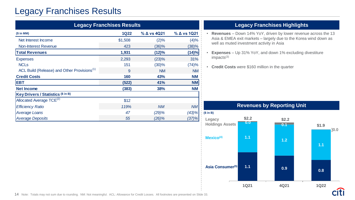# Legacy Franchises Results

| <b>Legacy Franchises Results</b>                        |             |             |             |  |  |
|---------------------------------------------------------|-------------|-------------|-------------|--|--|
| $$$ in MM)                                              | <b>1Q22</b> | % ∆ vs 4Q21 | % ∆ vs 1Q21 |  |  |
| Net Interest Income                                     | \$1,508     | (2)%        | (4)%        |  |  |
| <b>Non-Interest Revenue</b>                             | 423         | $(36)\%$    | (38)%       |  |  |
| <b>Total Revenues</b>                                   | 1,931       | (12)%       | (14)%       |  |  |
| <b>Expenses</b>                                         | 2,293       | (23)%       | 31%         |  |  |
| <b>NCLs</b>                                             | 151         | (30)%       | (74)%       |  |  |
| ACL Build (Release) and Other Provisions <sup>(1)</sup> | 9           | <b>NM</b>   | <b>NM</b>   |  |  |
| <b>Credit Costs</b>                                     | 160         | 43%         | <b>NM</b>   |  |  |
| <b>EBT</b>                                              | (522)       | 41%         | <b>NM</b>   |  |  |
| <b>Net Income</b>                                       | (383)       | 38%         | <b>NM</b>   |  |  |
| <b>Key Drivers / Statistics (\$ in B)</b>               |             |             |             |  |  |
| Allocated Average TCE <sup>(2)</sup>                    | \$12        |             |             |  |  |
| <b>Efficiency Ratio</b>                                 | 119%        | <b>NM</b>   | <b>NM</b>   |  |  |
| <b>Average Loans</b>                                    | 47          | (29)%       | (43)%       |  |  |
| <b>Average Deposits</b>                                 | 55          | $(26)\%$    | (37)%       |  |  |

### **Legacy Franchises Highlights**

- **Revenues** Down 14% YoY, driven by lower revenue across the 13 Asia & EMEA exit markets – largely due to the Korea wind down as well as muted investment activity in Asia
- **Expenses** Up 31% YoY, and down 1% excluding divestiture impacts(3)
- **Credit Costs** were \$160 million in the quarter

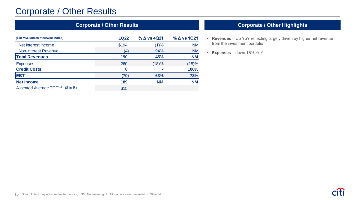# Corporate / Other Results

| <b>Corporate / Other Results</b>                                                                                                                                                                                                                                                                                                                                                                                                                                                                                                                         |             |                       |             |  |  |
|----------------------------------------------------------------------------------------------------------------------------------------------------------------------------------------------------------------------------------------------------------------------------------------------------------------------------------------------------------------------------------------------------------------------------------------------------------------------------------------------------------------------------------------------------------|-------------|-----------------------|-------------|--|--|
| (\$ in MM, unless otherwise noted)                                                                                                                                                                                                                                                                                                                                                                                                                                                                                                                       | <b>1Q22</b> | $\%$ $\Delta$ vs 4Q21 | % ∆ vs 1Q21 |  |  |
| Net Interest Income                                                                                                                                                                                                                                                                                                                                                                                                                                                                                                                                      | \$194       | (1)%                  | <b>NM</b>   |  |  |
| Non-Interest Revenue                                                                                                                                                                                                                                                                                                                                                                                                                                                                                                                                     | (4)         | 94%                   | <b>NM</b>   |  |  |
| <b>Total Revenues</b>                                                                                                                                                                                                                                                                                                                                                                                                                                                                                                                                    | 190         | 45%                   | <b>NM</b>   |  |  |
| <b>Expenses</b>                                                                                                                                                                                                                                                                                                                                                                                                                                                                                                                                          | 260         | (18)%                 | (15)%       |  |  |
| <b>Credit Costs</b>                                                                                                                                                                                                                                                                                                                                                                                                                                                                                                                                      | 0           |                       | 100%        |  |  |
| <b>EBT</b>                                                                                                                                                                                                                                                                                                                                                                                                                                                                                                                                               | (70)        | 63%                   | 73%         |  |  |
| <b>Net Income</b>                                                                                                                                                                                                                                                                                                                                                                                                                                                                                                                                        | 189         | <b>NM</b>             | <b>NM</b>   |  |  |
| Allocated Average TCE <sup>(1)</sup><br>$($ \in \mathbb{R} \times \mathbb{S} \times \mathbb{S} \times \mathbb{S} \times \mathbb{S} \times \mathbb{S} \times \mathbb{S} \times \mathbb{S} \times \mathbb{S} \times \mathbb{S} \times \mathbb{S} \times \mathbb{S} \times \mathbb{S} \times \mathbb{S} \times \mathbb{S} \times \mathbb{S} \times \mathbb{S} \times \mathbb{S} \times \mathbb{S} \times \mathbb{S} \times \mathbb{S} \times \mathbb{S} \times \mathbb{S} \times \mathbb{S} \times \mathbb{S} \times \mathbb{S} \times \mathbb{S} \times \$ | \$15        |                       |             |  |  |

## **Corporate / Other Highlights**

- **Revenues** Up YoY reflecting largely driven by higher net revenue from the investment portfolio
- **Expenses** down 15% YoY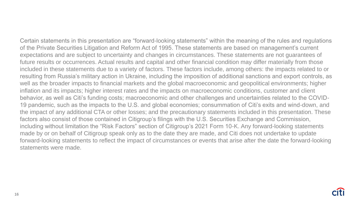Certain statements in this presentation are "forward-looking statements" within the meaning of the rules and regulations of the Private Securities Litigation and Reform Act of 1995. These statements are based on management's current expectations and are subject to uncertainty and changes in circumstances. These statements are not guarantees of future results or occurrences. Actual results and capital and other financial condition may differ materially from those included in these statements due to a variety of factors. These factors include, among others: the impacts related to or resulting from Russia's military action in Ukraine, including the imposition of additional sanctions and export controls, as well as the broader impacts to financial markets and the global macroeconomic and geopolitical environments; higher inflation and its impacts; higher interest rates and the impacts on macroeconomic conditions, customer and client behavior, as well as Citi's funding costs; macroeconomic and other challenges and uncertainties related to the COVID-19 pandemic, such as the impacts to the U.S. and global economies; consummation of Citi's exits and wind-down, and the impact of any additional CTA or other losses; and the precautionary statements included in this presentation. These factors also consist of those contained in Citigroup's filings with the U.S. Securities Exchange and Commission, including without limitation the "Risk Factors" section of Citigroup's 2021 Form 10-K. Any forward-looking statements made by or on behalf of Citigroup speak only as to the date they are made, and Citi does not undertake to update forward-looking statements to reflect the impact of circumstances or events that arise after the date the forward-looking statements were made.

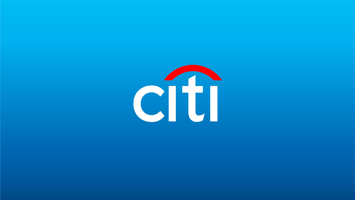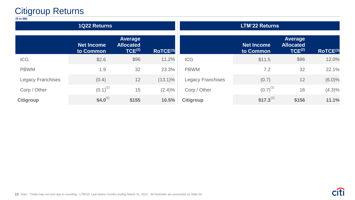# Citigroup Returns

| (\$ in \$B)              |                                |                                                          |            |                          |                                |                                                   |           |
|--------------------------|--------------------------------|----------------------------------------------------------|------------|--------------------------|--------------------------------|---------------------------------------------------|-----------|
|                          | <b>1Q22 Returns</b>            |                                                          |            |                          | <b>LTM'22 Returns</b>          |                                                   |           |
|                          | <b>Net Income</b><br>to Common | <b>Average</b><br><b>Allocated</b><br>TCE <sup>(2)</sup> | RoTCE(3)   |                          | <b>Net Income</b><br>to Common | Average<br><b>Allocated</b><br>TCE <sup>(2)</sup> | RoTCE(3)  |
| <b>ICG</b>               | \$2.6                          | \$96                                                     | 11.2%      | <b>ICG</b>               | \$11.5                         | \$96                                              | 12.0%     |
| <b>PBWM</b>              | 1.9                            | 32                                                       | 23.3%      | <b>PBWM</b>              | 7.2                            | 32                                                | 22.1%     |
| <b>Legacy Franchises</b> | (0.4)                          | 12                                                       | $(13.1)\%$ | <b>Legacy Franchises</b> | (0.7)                          | 12                                                | $(6.0)\%$ |
| Corp / Other             | $(0.1)^{(1)}$                  | 15                                                       | $(2.4)\%$  | Corp / Other             | $(0.7)^{(1)}$                  | 16                                                | $(4.3)\%$ |
| <b>Citigroup</b>         | $$4.0^{(1)}$                   | \$155                                                    | 10.5%      | <b>Citigroup</b>         | \$17.3 <sup>(1)</sup>          | \$156                                             | 11.1%     |
|                          |                                |                                                          |            |                          |                                |                                                   |           |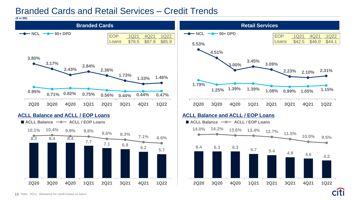## Branded Cards and Retail Services – Credit Trends

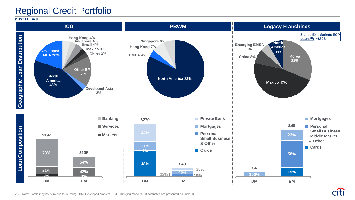# Regional Credit Portfolio

**(1Q'22 EOP in \$B)**

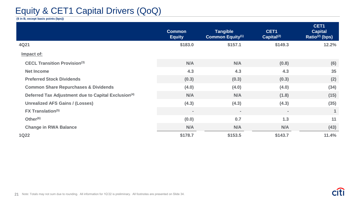# Equity & CET1 Capital Drivers (QoQ)

#### **(\$ in B, except basis points (bps))**

|                                                                 | <b>Common</b><br><b>Equity</b> | <b>Tangible</b><br><b>Common Equity(1)</b> | CET1<br>Capital <sup>(2)</sup> | CET1<br><b>Capital</b><br>Ratio $(2)$ (bps) |
|-----------------------------------------------------------------|--------------------------------|--------------------------------------------|--------------------------------|---------------------------------------------|
| 4Q21                                                            | \$183.0                        | \$157.1                                    | \$149.3                        | 12.2%                                       |
| Impact of:                                                      |                                |                                            |                                |                                             |
| <b>CECL Transition Provision(3)</b>                             | N/A                            | N/A                                        | (0.8)                          | (6)                                         |
| <b>Net Income</b>                                               | 4.3                            | 4.3                                        | 4.3                            | 35                                          |
| <b>Preferred Stock Dividends</b>                                | (0.3)                          | (0.3)                                      | (0.3)                          | (2)                                         |
| <b>Common Share Repurchases &amp; Dividends</b>                 | (4.0)                          | (4.0)                                      | (4.0)                          | (34)                                        |
| Deferred Tax Adjustment due to Capital Exclusion <sup>(4)</sup> | N/A                            | N/A                                        | (1.8)                          | (15)                                        |
| <b>Unrealized AFS Gains / (Losses)</b>                          | (4.3)                          | (4.3)                                      | (4.3)                          | (35)                                        |
| <b>FX Translation(5)</b>                                        | $\qquad \qquad =$              | $\qquad \qquad =$                          | $\,$ $\,$                      | $\mathbf{1}$                                |
| Other $(6)$                                                     | (0.0)                          | 0.7                                        | 1.3                            | 11                                          |
| <b>Change in RWA Balance</b>                                    | N/A                            | N/A                                        | N/A                            | (43)                                        |
| <b>1Q22</b>                                                     | \$178.7                        | \$153.5                                    | \$143.7                        | 11.4%                                       |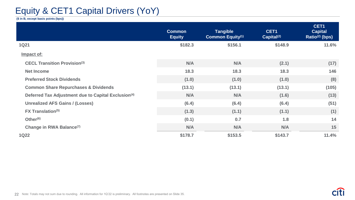# Equity & CET1 Capital Drivers (YoY)

**(\$ in B, except basis points (bps))**

|                                                                 | <b>Common</b><br><b>Equity</b> | <b>Tangible</b><br><b>Common Equity(1)</b> | CET1<br>Capital <sup>(2)</sup> | CET1<br><b>Capital</b><br>Ratio $(2)$ (bps) |
|-----------------------------------------------------------------|--------------------------------|--------------------------------------------|--------------------------------|---------------------------------------------|
| <b>1Q21</b>                                                     | \$182.3                        | \$156.1                                    | \$148.9                        | 11.6%                                       |
| Impact of:                                                      |                                |                                            |                                |                                             |
| <b>CECL Transition Provision(3)</b>                             | N/A                            | N/A                                        | (2.1)                          | (17)                                        |
| <b>Net Income</b>                                               | 18.3                           | 18.3                                       | 18.3                           | 146                                         |
| <b>Preferred Stock Dividends</b>                                | (1.0)                          | (1.0)                                      | (1.0)                          | (8)                                         |
| <b>Common Share Repurchases &amp; Dividends</b>                 | (13.1)                         | (13.1)                                     | (13.1)                         | (105)                                       |
| Deferred Tax Adjustment due to Capital Exclusion <sup>(4)</sup> | N/A                            | N/A                                        | (1.6)                          | (13)                                        |
| <b>Unrealized AFS Gains / (Losses)</b>                          | (6.4)                          | (6.4)                                      | (6.4)                          | (51)                                        |
| <b>FX Translation(5)</b>                                        | (1.3)                          | (1.1)                                      | (1.1)                          | (1)                                         |
| Other <sup>(6)</sup>                                            | (0.1)                          | 0.7                                        | 1.8                            | 14                                          |
| Change in RWA Balance <sup>(7)</sup>                            | N/A                            | N/A                                        | N/A                            | 15                                          |
| <b>1Q22</b>                                                     | \$178.7                        | \$153.5                                    | \$143.7                        | 11.4%                                       |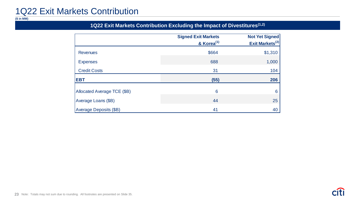# 1Q22 Exit Markets Contribution

**(\$ in MM)**

## **1Q22 Exit Markets Contribution Excluding the Impact of Divestitures(1,2)**

|                             | <b>Signed Exit Markets</b><br>& Korea <sup>(1)</sup> | <b>Not Yet Signed</b><br>Exit Markets <sup>(2)</sup> |
|-----------------------------|------------------------------------------------------|------------------------------------------------------|
| <b>Revenues</b>             | \$664                                                | \$1,310                                              |
| <b>Expenses</b>             | 688                                                  | 1,000                                                |
| <b>Credit Costs</b>         | 31                                                   | 104                                                  |
| <b>EBT</b>                  | (55)                                                 | 206                                                  |
| Allocated Average TCE (\$B) | 6                                                    | 6                                                    |
| Average Loans (\$B)         | 44                                                   | 25                                                   |
| Average Deposits (\$B)      | 41                                                   | 40                                                   |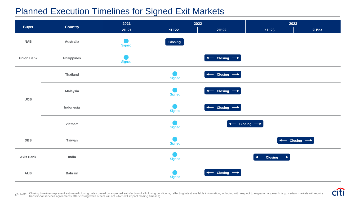# Planned Execution Timelines for Signed Exit Markets

|                   |                 | 2021          | 2022           |                                    | 2023                                                      |                                    |
|-------------------|-----------------|---------------|----------------|------------------------------------|-----------------------------------------------------------|------------------------------------|
| <b>Buyer</b>      | Country         | 2H'21         | 1H'22          | 2H'22                              | 1H'23                                                     | 2H'23                              |
| <b>NAB</b>        | Australia       | <b>Signed</b> | <b>Closing</b> |                                    |                                                           |                                    |
| <b>Union Bank</b> | Philippines     | <b>Signed</b> |                | $\leftarrow$ Closing $\rightarrow$ |                                                           |                                    |
|                   | <b>Thailand</b> |               | Signed         | $\leftarrow$ Closing $\rightarrow$ |                                                           |                                    |
| <b>UOB</b>        | <b>Malaysia</b> |               | Signed         | $\leftarrow$ Closing $\rightarrow$ |                                                           |                                    |
|                   | Indonesia       |               | Signed         | $\leftarrow$ Closing $\rightarrow$ |                                                           |                                    |
|                   | Vietnam         |               | Signed         | $\leftarrow$                       | $\overline{\phantom{a}}$ Closing $\overline{\phantom{a}}$ |                                    |
| <b>DBS</b>        | Taiwan          |               | Signed         |                                    |                                                           | $\leftarrow$ Closing $\rightarrow$ |
| <b>Axis Bank</b>  | India           |               | Signed         |                                    | $\leftarrow$ Closing $\rightarrow$                        |                                    |
| <b>AUB</b>        | <b>Bahrain</b>  |               | Signed         | $\leftarrow$ Closing $\rightarrow$ |                                                           |                                    |



24 Note: Closing timelines represent estimated closing dates based on expected satisfaction of all closing conditions, reflecting latest available information, including with respect to migration approach (e.g., certain ma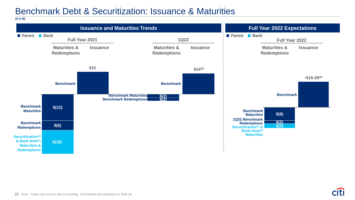# Benchmark Debt & Securitization: Issuance & Maturities

**(\$ in B)**

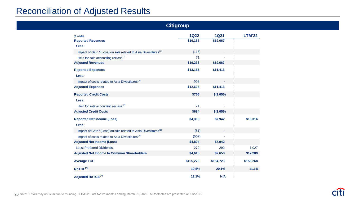# Reconciliation of Adjusted Results

| <b>Citigroup</b>                                                            |             |             |               |  |
|-----------------------------------------------------------------------------|-------------|-------------|---------------|--|
| $$$ in MM)                                                                  | <b>1Q22</b> | <b>1Q21</b> | <b>LTM'22</b> |  |
| <b>Reported Revenues</b>                                                    | \$19,186    | \$19,667    |               |  |
| Less:                                                                       |             |             |               |  |
| Impact of Gain / (Loss) on sale related to Asia Divestitures <sup>(1)</sup> | (118)       |             |               |  |
| Held for sale accounting reclass <sup>(2)</sup>                             | 71          |             |               |  |
| <b>Adjusted Revenues</b>                                                    | \$19,233    | \$19,667    |               |  |
| <b>Reported Expenses</b><br>Less:                                           | \$13,165    | \$11,413    |               |  |
| Impact of costs related to Asia Divestitures <sup>(3)</sup>                 | 559         |             |               |  |
| <b>Adjusted Expenses</b>                                                    | \$12,606    | \$11,413    |               |  |
| <b>Reported Credit Costs</b>                                                | \$755       | \$(2,055)   |               |  |
| Less:                                                                       |             |             |               |  |
| Held for sale accounting reclass <sup>(2)</sup>                             | 71          |             |               |  |
| <b>Adjusted Credit Costs</b>                                                | \$684       | \$(2,055)   |               |  |
| <b>Reported Net Income (Loss)</b><br>Less:                                  | \$4,306     | \$7,942     | \$18,316      |  |
| Impact of Gain / (Loss) on sale related to Asia Divestitures <sup>(1)</sup> | (81)        |             |               |  |
| Impact of costs related to Asia Divestitures <sup>(3)</sup>                 | (507)       |             |               |  |
| <b>Adjusted Net Income (Loss)</b>                                           | \$4,894     | \$7,942     |               |  |
| <b>Less: Preferred Dividends</b>                                            | 279         | 292         | 1,027         |  |
| <b>Adjusted Net Income to Common Shareholders</b>                           | \$4,615     | \$7,650     | \$17,289      |  |
| <b>Average TCE</b>                                                          | \$155,270   | \$154,723   | \$156,268     |  |
| ROICE <sup>(4)</sup>                                                        | 10.5%       | 20.1%       | 11.1%         |  |
| Adjusted RoTCE <sup>(4)</sup>                                               | 12.1%       | N/A         |               |  |

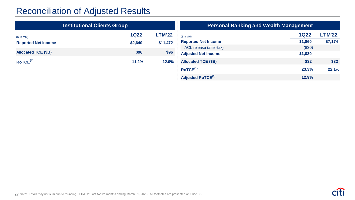# Reconciliation of Adjusted Results

|                            | <b>Institutional Clients Group</b> |               |                                              | <b>Personal Banking and Wealth Management</b> |
|----------------------------|------------------------------------|---------------|----------------------------------------------|-----------------------------------------------|
| $(S \in M M)$              | <b>1Q22</b>                        | <b>LTM'22</b> | $(S \in M)$                                  | <b>1Q22</b>                                   |
| <b>Reported Net Income</b> | \$2,640                            | \$11,472      | <b>Reported Net Income</b>                   | \$1,860                                       |
|                            |                                    |               | ACL release (after-tax)                      | (830)                                         |
| <b>Allocated TCE (\$B)</b> | \$96                               | \$96          | <b>Adjusted Net Income</b>                   | \$1,030                                       |
| ROICE <sup>(1)</sup>       | 11.2%                              | 12.0%         | <b>Allocated TCE (\$B)</b>                   | \$32                                          |
|                            |                                    |               | ROICE <sup>(1)</sup>                         | 23.3%                                         |
|                            |                                    |               | Adjusted $D_{\alpha} \tau \sigma \tau^{(1)}$ | 1200                                          |

| <b>Personal Banking and Wealth Management</b> |             |               |  |  |
|-----------------------------------------------|-------------|---------------|--|--|
| $(S \in M)$                                   | <b>1Q22</b> | <b>LTM'22</b> |  |  |
| <b>Reported Net Income</b>                    | \$1,860     | \$7,174       |  |  |
| ACL release (after-tax)                       | (830)       |               |  |  |
| <b>Adjusted Net Income</b>                    | \$1,030     |               |  |  |
| <b>Allocated TCE (\$B)</b>                    | \$32        | \$32          |  |  |
| ROICE <sup>(1)</sup>                          | 23.3%       | 22.1%         |  |  |
| Adjusted RoTCE <sup>(1)</sup>                 | 12.9%       |               |  |  |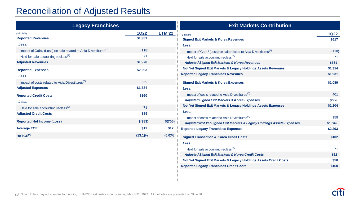# Reconciliation of Adjusted Results

| <b>Legacy Franchises</b>                                                                                                                                   |                                   |                | <b>Exit Markets Contribution</b>                                                                                                                                                                                                                            |                                 |
|------------------------------------------------------------------------------------------------------------------------------------------------------------|-----------------------------------|----------------|-------------------------------------------------------------------------------------------------------------------------------------------------------------------------------------------------------------------------------------------------------------|---------------------------------|
| $(S \in M M)$<br><b>Reported Revenues</b><br>Less:                                                                                                         | <u> 1Q22 </u><br>\$1,931          | <b>LTM'22</b>  | $(S \in M$ MM)<br><b>Signed Exit Markets &amp; Korea Revenues</b><br>Less:                                                                                                                                                                                  | <b>1Q22</b><br>\$617            |
| Impact of Gain / (Loss) on sale related to Asia Divestitures <sup>(1)</sup><br>Held for sale accounting reclass <sup>(2)</sup><br><b>Adjusted Revenues</b> | (118)<br>71<br>\$1,978<br>\$2,293 |                | Impact of Gain / (Loss) on sale related to Asia Divestitures <sup>(1)</sup><br>Held for sale accounting reclass <sup>(2)</sup><br><b>Adjusted Signed Exit Markets &amp; Korea Revenues</b><br>Not Yet Signed Exit Markets & Legacy Holdings Assets Revenues | (118)<br>71<br>\$664<br>\$1,314 |
| <b>Reported Expenses</b><br>Less:<br>Impact of costs related to Asia Divestitures <sup>(3)</sup><br><b>Adjusted Expenses</b>                               | 559<br>\$1,734                    |                | <b>Reported Legacy Franchises Revenues</b><br><b>Signed Exit Markets &amp; Korea Expenses</b><br>Less:                                                                                                                                                      | \$1,931<br>\$1,089              |
| <b>Reported Credit Costs</b><br>Less:<br>Held for sale accounting reclass <sup>(2)</sup>                                                                   | \$160<br>71                       |                | Impact of costs related to Asia Divestitures <sup>(3)</sup><br><b>Adjusted Signed Exit Markets &amp; Korea Expenses</b><br>Not Yet Signed Exit Markets & Legacy Holdings Assets Expenses                                                                    | 401<br>\$688<br>\$1,204         |
| <b>Adjusted Credit Costs</b><br><b>Reported Net Income (Loss)</b>                                                                                          | \$89<br>$$$ (383)                 | \$(705)        | Less:<br>Impact of costs related to Asia Divestitures <sup>(3)</sup><br>Adjusted Not Yet Signed Exit Markets & Legacy Holdings Assets Expenses                                                                                                              | 158<br>\$1,046                  |
| <b>Average TCE</b><br>ROICE <sup>(4)</sup>                                                                                                                 | \$12<br>$(13.1)\%$                | \$12<br>(6.0)% | <b>Reported Legacy Franchises Expenses</b><br><b>Signed Transaction &amp; Korea Credit Costs</b><br><b>Less:</b>                                                                                                                                            | \$2,293<br>\$102                |

Held for sale accounting reclass<sup> $(2)$ </sup> 71 *Adjusted Signed Exit Markets & Korea Credit Costs \$31* **Not Yet Signed Exit Markets & Legacy Holdings Assets Credit Costs \$58 Reported Legacy Franchises Credit Costs \$160**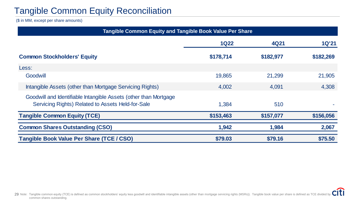# Tangible Common Equity Reconciliation

(\$ in MM, except per share amounts)

| Tangible Common Equity and Tangible Book Value Per Share                                                              |             |           |              |  |  |
|-----------------------------------------------------------------------------------------------------------------------|-------------|-----------|--------------|--|--|
|                                                                                                                       | <b>1Q22</b> | 4Q21      | <b>1Q'21</b> |  |  |
| <b>Common Stockholders' Equity</b>                                                                                    | \$178,714   | \$182,977 | \$182,269    |  |  |
| Less:                                                                                                                 |             |           |              |  |  |
| Goodwill                                                                                                              | 19,865      | 21,299    | 21,905       |  |  |
| Intangible Assets (other than Mortgage Servicing Rights)                                                              | 4,002       | 4,091     | 4,308        |  |  |
| Goodwill and Identifiable Intangible Assets (other than Mortgage<br>Servicing Rights) Related to Assets Held-for-Sale | 1,384       | 510       |              |  |  |
| <b>Tangible Common Equity (TCE)</b>                                                                                   | \$153,463   | \$157,077 | \$156,056    |  |  |
| <b>Common Shares Outstanding (CSO)</b>                                                                                | 1,942       | 1,984     | 2,067        |  |  |
| <b>Tangible Book Value Per Share (TCE/CSO)</b>                                                                        | \$79.03     | \$79.16   | \$75.50      |  |  |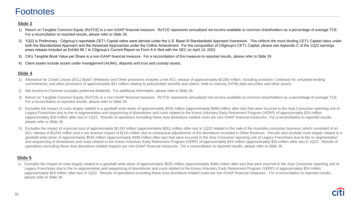## **Footnotes**

#### **Slide 3**

- 1) Return on Tangible Common Equity (RoTCE) is a non-GAAP financial measure. RoTCE represents annualized net income available to common shareholders as a percentage of average TCE. For a reconciliation to reported results, please refer to Slide 26.
- 2) 1Q22 is Preliminary. Citigroup's reportable CET1 Capital ratios were derived under the U.S. Basel III Standardized Approach framework. This reflects the more binding CET1 Capital ratios under both the Standardized Approach and the Advanced Approaches under the Collins Amendment. For the composition of Citigroup's CET1 Capital, please see Appendix C of the 1Q22 earnings press release included as Exhibit 99.1 to Citigroup's Current Report on Form 8-K filed with the SEC on April 14, 2022.
- 3) Citi's Tangible Book Value per Share is a non-GAAP financial measure. For a reconciliation of this measure to reported results, please refer to Slide 29.
- 4) Client assets include assets under management (AUMs), deposits and trust and custody assets.

#### **Slide 4**

- 1) Allowance for Credit Losses (ACL) Build / (Release) and Other provisions includes a net ACL release of approximately \$(138) million, including provision / (release) for unfunded lending commitments, and other provisions of approximately \$21 million relating to policyholder benefits and claims, held-to-maturity (HTM) debt securities and other assets.
- 2) Net Income to Common excludes preferred dividends. For additional information, please refer to Slide 26.
- 3) Return on Tangible Common Equity (RoTCE) is a non-GAAP financial measure. RoTCE represents annualized net income available to common shareholders as a percentage of average TCE. For a reconciliation to reported results, please refer to Slide 26.
- 4) Excludes the impact of costs largely related to a goodwill write-down of approximately \$535 million (approximately \$489 million after-tax) that were incurred in the Asia Consumer reporting unit of Legacy Franchises due to the re-segmentation and sequencing of divestitures and costs related to the Korea Voluntary Early Retirement Program (VERP) of approximately \$24 million (approximately \$18 million after-tax) in 1Q22. Results of operations excluding these Asia divestiture-related costs are non-GAAP financial measures. For a reconciliation to reported results, please refer to Slide 26.
- Excludes the impact of a pre-tax loss of approximately \$(118) million (approximately \$(81) million after-tax) in 1Q22 related to the sale of the Australia consumer business, which consisted of an ACL release of \$(104) million and a net revenue impact of \$(14) million due to contractual adjustments of the divestiture recorded in Other Revenue. Results also exclude costs largely related to a goodwill write-down of approximately \$535 million (approximately \$489 million after-tax) that were incurred in the Asia Consumer reporting unit of Legacy Franchises due to the re-segmentation and sequencing of divestitures and costs related to the Korea Voluntary Early Retirement Program (VERP) of approximately \$24 million (approximately \$18 million after-tax) in 1Q22. Results of operations excluding these Asia divestiture-related impacts are non-GAAP financial measures. For a reconciliation to reported results, please refer to Slide 26.

#### **Slide 5**

1) Excludes the impact of costs largely related to a goodwill write-down of approximately \$535 million (approximately \$489 million after-tax) that were incurred in the Asia Consumer reporting unit of Legacy Franchises due to the re-segmentation and sequencing of divestitures and costs related to the Korea Voluntary Early Retirement Program (VERP) of approximately \$24 million (approximately \$18 million after-tax) in 1Q22. Results of operations excluding these Asia divestiture-related costs are non-GAAP financial measures. For a reconciliation to reported results, please refer to Slide 26.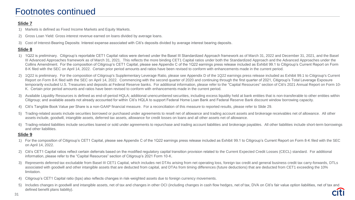#### **Slide 7**

- 1) Markets is defined as Fixed Income Markets and Equity Markets.
- 2) Gross Loan Yield: Gross interest revenue earned on loans divided by average loans.
- 3) Cost of Interest-Bearing Deposits: Interest expense associated with Citi's deposits divided by average interest bearing deposits.

#### **Slide 8**

- 1) 1Q22 is preliminary. Citigroup's reportable CET1 Capital ratios were derived under the Basel III Standardized Approach framework as of March 31, 2022 and December 31, 2021, and the Basel III Advanced Approaches framework as of March 31, 2021. This reflects the more binding CET1 Capital ratios under both the Standardized Approach and the Advanced Approaches under the Collins Amendment. For the composition of Citigroup's CET1 Capital, please see Appendix C of the 1Q22 earnings press release included as Exhibit 99.1 to Citigroup's Current Report on Form 8-K filed with the SEC on April 14, 2022. Certain prior period amounts and ratios have been revised to conform with enhancements made in the current period.
- 2) 1Q22 is preliminary. For the composition of Citigroup's Supplementary Leverage Ratio, please see Appendix D of the 1Q22 earnings press release included as Exhibit 99.1 to Citigroup's Current Report on Form 8-K filed with the SEC on April 14, 2022. Commencing with the second quarter of 2020 and continuing through the first quarter of 2021, Citigroup's Total Leverage Exposure temporarily excluded U.S. Treasuries and deposits at Federal Reserve banks. For additional information, please refer to the "Capital Resources" section of Citi's 2021 Annual Report on Form 10-K. Certain prior period amounts and ratios have been revised to conform with enhancements made in the current period.
- 3) Available Liquidity Resources is defined as end-of-period HQLA; additional unencumbered securities, including excess liquidity held at bank entities that is non-transferable to other entities within Citigroup; and available assets not already accounted for within Citi's HQLA to support Federal Home Loan Bank and Federal Reserve Bank discount window borrowing capacity.
- 4) Citi's Tangible Book Value per Share is a non-GAAP financial measure. For a reconciliation of this measure to reported results, please refer to Slide 29.
- 5) Trading-related assets include securities borrowed or purchased under agreements to resell net of allowance and trading account assets and brokerage receivables net of allowance. All other assets include, goodwill, intangible assets, deferred tax assets, allowance for credit losses on loans and all other assets net of allowance.
- 6) Trading-related liabilities include securities loaned or sold under agreements to repurchase and trading account liabilities and brokerage payables. All other liabilities include short-term borrowings and other liabilities.

- 1) For the composition of Citigroup's CET1 Capital, please see Appendix C of the 1Q22 earnings press release included as Exhibit 99.1 to Citigroup's Current Report on Form 8-K filed with the SEC on April 14, 2022.
- 2) Citi's CET1 Capital ratios reflect certain deferrals based on the modified regulatory capital transition provision related to the Current Expected Credit Losses (CECL) standard. For additional information, please refer to the "Capital Resources" section of Citigroup's 2021 Form 10-K.
- 3) Represents deferred tax excludable from Basel III CET1 Capital, which includes net DTAs arising from net operating loss, foreign tax credit and general business credit tax carry-forwards, DTLs associated with goodwill and other intangible assets that are deducted from capital, and DTAs from timing differences (future deductions) that are deducted from CET1 exceeding the 10% limitation.
- 4) Citigroup's CET1 Capital ratio (bps) also reflects changes in risk-weighted assets due to foreign currency movements.
- 5) Includes changes in goodwill and intangible assets, net of tax and changes in other OCI (including changes in cash flow hedges, net of tax, DVA on Citi's fair value option liabilities, net of tax and defined benefit plans liability).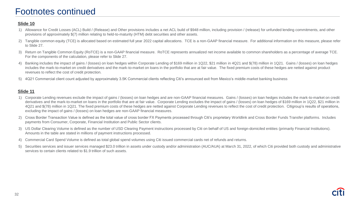#### **Slide 10**

- 1) Allowance for Credit Losses (ACL) Build / (Release) and Other provisions includes a net ACL build of \$948 million, including provision / (release) for unfunded lending commitments, and other provisions of approximately \$(7) million relating to held-to-maturity (HTM) debt securities and other assets.
- 2) Tangible common equity (TCE) is allocated based on estimated full year 2022 capital allocations. TCE is a non-GAAP financial measure. For additional information on this measure, please refer to Slide 27.
- 3) Return on Tangible Common Equity (RoTCE) is a non-GAAP financial measure. RoTCE represents annualized net income available to common shareholders as a percentage of average TCE. For the components of the calculation, please refer to Slide 27.
- 4) Banking includes the impact of gains / (losses) on loan hedges within Corporate Lending of \$169 million in 1Q22, \$21 million in 4Q21 and \$(78) million in 1Q21. Gains / (losses) on loan hedges includes the mark-to-market on credit derivatives and the mark-to-market on loans in the portfolio that are at fair value. The fixed premium costs of these hedges are netted against product revenues to reflect the cost of credit protection.
- 5) 4Q21 Commercial client count adjusted by approximately 3.5K Commercial clients reflecting Citi's announced exit from Mexico's middle-market banking business

- 1) Corporate Lending revenues exclude the impact of gains / (losses) on loan hedges and are non-GAAP financial measures. Gains / (losses) on loan hedges includes the mark-to-market on credit derivatives and the mark-to-market on loans in the portfolio that are at fair value. Corporate Lending excludes the impact of gains / (losses) on loan hedges of \$169 million in 1Q22, \$21 million in 4Q21 and \$(78) million in 1Q21. The fixed premium costs of these hedges are netted against Corporate Lending revenues to reflect the cost of credit protection. Citigroup's results of operations, excluding the impact of gains / (losses) on loan hedges are non-GAAP financial measures.
- 2) Cross Border Transaction Value is defined as the total value of cross border FX Payments processed through Citi's proprietary Worldlink and Cross Border Funds Transfer platforms. Includes payments from Consumer, Corporate, Financial Institution and Public Sector clients.
- 3) US Dollar Clearing Volume is defined as the number of USD Clearing Payment instructions processed by Citi on behalf of US and foreign-domiciled entities (primarily Financial Institutions). Amounts in the table are stated in millions of payment instructions processed.
- 4) Commercial Card Spend Volume is defined as total global spend volumes using Citi issued commercial cards net of refunds and returns.
- 5) Securities services and issuer services managed \$23.0 trillion in assets under custody and/or administration (AUC/AUA) at March 31, 2022, of which Citi provided both custody and administrative services to certain clients related to \$1.9 trillion of such assets.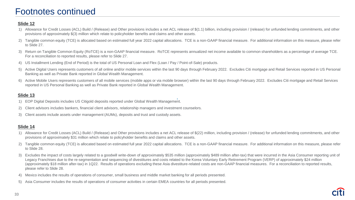#### **Slide 12**

- 1) Allowance for Credit Losses (ACL) Build / (Release) and Other provisions includes a net ACL release of \$(1.1) billion, including provision / (release) for unfunded lending commitments, and other provisions of approximately \$(3) million which relate to policyholder benefits and claims and other assets.
- 2) Tangible common equity (TCE) is allocated based on estimated full year 2022 capital allocations. TCE is a non-GAAP financial measure. For additional information on this measure, please refer to Slide 27.
- 3) Return on Tangible Common Equity (RoTCE) is a non-GAAP financial measure. RoTCE represents annualized net income available to common shareholders as a percentage of average TCE. For a reconciliation to reported results, please refer to Slide 27.
- 4) US Installment Lending (End of Period) is the total of US Personal Loan and Flex (Loan / Pay / Point-of-Sale) products.
- 5) Active Digital Users represents customers of all online and/or mobile services within the last 90 days through February 2022. Excludes Citi mortgage and Retail Services reported in US Personal Banking as well as Private Bank reported in Global Wealth Management.
- 6) Active Mobile Users represents customers of all mobile services (mobile apps or via mobile browser) within the last 90 days through February 2022. Excludes Citi mortgage and Retail Services reported in US Personal Banking as well as Private Bank reported in Global Wealth Management.

#### **Slide 13**

- 1) EOP Digital Deposits includes US Citigold deposits reported under Global Wealth Management.
- 2) Client advisors includes bankers, financial client advisors, relationship managers and investment counselors.
- 3) Client assets include assets under management (AUMs), deposits and trust and custody assets.

- 1) Allowance for Credit Losses (ACL) Build / (Release) and Other provisions includes a net ACL release of \$(22) million, including provision / (release) for unfunded lending commitments, and other provisions of approximately \$31 million which relate to policyholder benefits and claims and other assets.
- 2) Tangible common equity (TCE) is allocated based on estimated full year 2022 capital allocations. TCE is a non-GAAP financial measure. For additional information on this measure, please refer to Slide 28.
- Excludes the impact of costs largely related to a goodwill write-down of approximately \$535 million (approximately \$489 million after-tax) that were incurred in the Asia Consumer reporting unit of Legacy Franchises due to the re-segmentation and sequencing of divestitures and costs related to the Korea Voluntary Early Retirement Program (VERP) of approximately \$24 million (approximately \$18 million after-tax) in 1Q22. Results of operations excluding these Asia divestiture-related costs are non-GAAP financial measures. For a reconciliation to reported results, please refer to Slide 28.
- 4) Mexico includes the results of operations of consumer, small business and middle market banking for all periods presented.
- 5) Asia Consumer includes the results of operations of consumer activities in certain EMEA countries for all periods presented.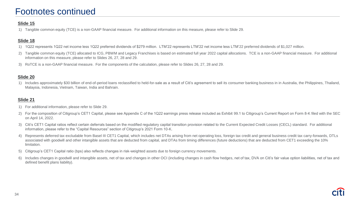#### **Slide 15**

1) Tangible common equity (TCE) is a non-GAAP financial measure. For additional information on this measure, please refer to Slide 29.

#### **Slide 18**

- 1) 1Q22 represents 1Q22 net income less 1Q22 preferred dividends of \$279 million. LTM'22 represents LTM'22 net income less LTM'22 preferred dividends of \$1,027 million.
- 2) Tangible common equity (TCE) allocated to ICG, PBWM and Legacy Franchises is based on estimated full year 2022 capital allocations. TCE is a non-GAAP financial measure. For additional information on this measure, please refer to Slides 26, 27, 28 and 29.
- 3) RoTCE is a non-GAAP financial measure. For the components of the calculation, please refer to Slides 26, 27, 28 and 29.

#### **Slide 20**

1) Includes approximately \$30 billion of end-of-period loans reclassified to held-for-sale as a result of Citi's agreement to sell its consumer banking business in in Australia, the Philippines, Thailand, Malaysia, Indonesia, Vietnam, Taiwan, India and Bahrain.

- 1) For additional information, please refer to Slide 29.
- 2) For the composition of Citigroup's CET1 Capital, please see Appendix C of the 1Q22 earnings press release included as Exhibit 99.1 to Citigroup's Current Report on Form 8-K filed with the SEC on April 14, 2022.
- 3) Citi's CET1 Capital ratios reflect certain deferrals based on the modified regulatory capital transition provision related to the Current Expected Credit Losses (CECL) standard. For additional information, please refer to the "Capital Resources" section of Citigroup's 2021 Form 10-K.
- 4) Represents deferred tax excludable from Basel III CET1 Capital, which includes net DTAs arising from net operating loss, foreign tax credit and general business credit tax carry-forwards, DTLs associated with goodwill and other intangible assets that are deducted from capital, and DTAs from timing differences (future deductions) that are deducted from CET1 exceeding the 10% limitation.
- 5) Citigroup's CET1 Capital ratio (bps) also reflects changes in risk-weighted assets due to foreign currency movements.
- 6) Includes changes in goodwill and intangible assets, net of tax and changes in other OCI (including changes in cash flow hedges, net of tax, DVA on Citi's fair value option liabilities, net of tax and defined benefit plans liability).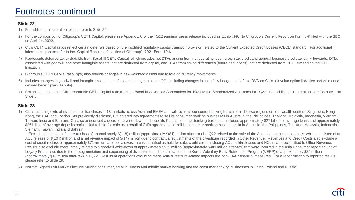#### **Slide 22**

- 1) For additional information, please refer to Slide 29.
- 2) For the composition of Citigroup's CET1 Capital, please see Appendix C of the 1Q22 earnings press release included as Exhibit 99.1 to Citigroup's Current Report on Form 8-K filed with the SEC on April 14, 2022.
- 3) Citi's CET1 Capital ratios reflect certain deferrals based on the modified regulatory capital transition provision related to the Current Expected Credit Losses (CECL) standard. For additional information, please refer to the "Capital Resources" section of Citigroup's 2021 Form 10-K.
- 4) Represents deferred tax excludable from Basel III CET1 Capital, which includes net DTAs arising from net operating loss, foreign tax credit and general business credit tax carry-forwards, DTLs associated with goodwill and other intangible assets that are deducted from capital, and DTAs from timing differences (future deductions) that are deducted from CET1 exceeding the 10% limitation.
- 5) Citigroup's CET1 Capital ratio (bps) also reflects changes in risk-weighted assets due to foreign currency movements.
- Includes changes in goodwill and intangible assets, net of tax and changes in other OCI (including changes in cash flow hedges, net of tax, DVA on Citi's fair value option liabilities, net of tax and defined benefit plans liability).
- 7) Reflects the change in Citi's reportable CET1 Capital ratio from the Basel III Advanced Approaches for 1Q21 to the Standardized Approach for 1Q22. For additional information, see footnote 1 on Slide 8.

#### **Slide 23**

1) Citi is pursuing exits of its consumer franchises in 13 markets across Asia and EMEA and will focus its consumer banking franchise in the two regions on four wealth centers: Singapore, Hong Kong, the UAE and London. As previously disclosed, Citi entered into agreements to sell its consumer banking businesses in Australia, the Philippines, Thailand, Malaysia, Indonesia, Vietnam, Taiwan, India and Bahrain. Citi also announced a decision to wind-down and close its Korea consumer banking business. Includes approximately \$27 billion of average loans and approximately \$26 billion of average deposits reclassified to held-for-sale as a result of Citi's agreements to sell its consumer banking businesses in in Australia, the Philippines, Thailand, Malaysia, Indonesia, Vietnam, Taiwan, India and Bahrain.

Excludes the impact of a pre-tax loss of approximately \$(118) million (approximately \$(81) million after-tax) in 1Q22 related to the sale of the Australia consumer business, which consisted of an ACL release of \$(104) million and a net revenue impact of \$(14) million due to contractual adjustments of the divestiture recorded in Other Revenue. Revenues and Credit Costs also exclude a cost of credit reclass of approximately \$71 million, as once a divestiture is classified as held for sale, credit costs, including ACL build/releases and NCL's, are reclassified to Other Revenue. Results also exclude costs largely related to a goodwill write-down of approximately \$535 million (approximately \$489 million after-tax) that were incurred in the Asia Consumer reporting unit of Legacy Franchises due to the re-segmentation and sequencing of divestitures and costs related to the Korea Voluntary Early Retirement Program (VERP) of approximately \$24 million (approximately \$18 million after-tax) in 1Q22. Results of operations excluding these Asia divestiture-related impacts are non-GAAP financial measures. For a reconciliation to reported results, please refer to Slide 28.

2) Not Yet Signed Exit Markets include Mexico consumer, small business and middle market banking and the consumer banking businesses in China, Poland and Russia.